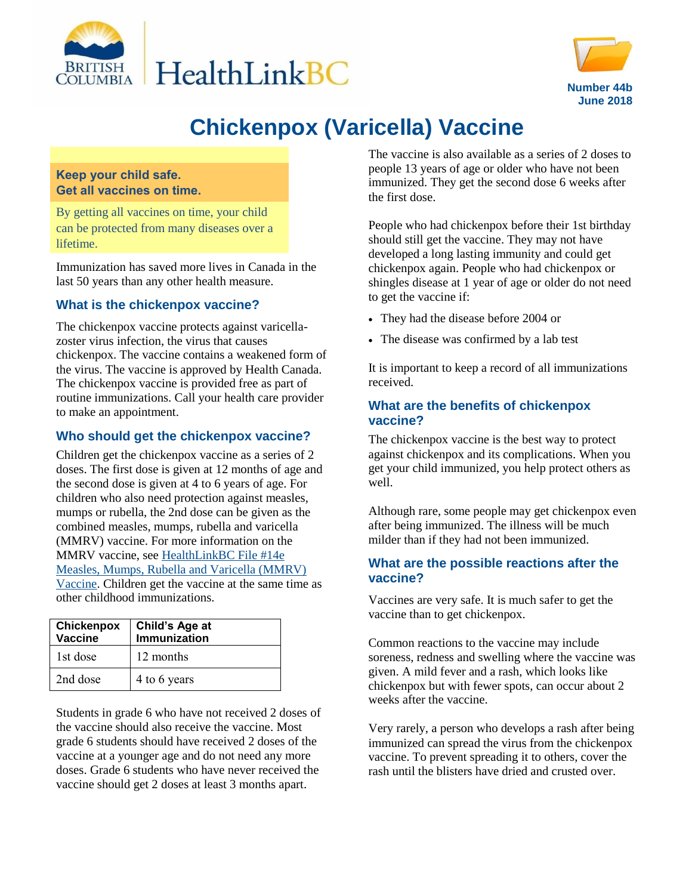



# **Chickenpox (Varicella) Vaccine**

#### **Keep your child safe. Get all vaccines on time.**

By getting all vaccines on time, your child can be protected from many diseases over a lifetime.

Immunization has saved more lives in Canada in the last 50 years than any other health measure.

#### **What is the chickenpox vaccine?**

The chickenpox vaccine protects against varicellazoster virus infection, the virus that causes chickenpox. The vaccine contains a weakened form of the virus. The vaccine is approved by Health Canada. The chickenpox vaccine is provided free as part of routine immunizations. Call your health care provider to make an appointment.

#### **Who should get the chickenpox vaccine?**

Children get the chickenpox vaccine as a series of 2 doses. The first dose is given at 12 months of age and the second dose is given at 4 to 6 years of age. For children who also need protection against measles, mumps or rubella, the 2nd dose can be given as the combined measles, mumps, rubella and varicella (MMRV) vaccine. For more information on the MMRV vaccine, see [HealthLinkBC File #14e](https://www.healthlinkbc.ca/healthlinkbc-files/mmrv-vaccine)  [Measles, Mumps, Rubella and Varicella \(MMRV\)](https://www.healthlinkbc.ca/healthlinkbc-files/mmrv-vaccine)  [Vaccine.](https://www.healthlinkbc.ca/healthlinkbc-files/mmrv-vaccine) Children get the vaccine at the same time as other childhood immunizations.

| Chickenpox<br>Vaccine | Child's Age at<br>Immunization |
|-----------------------|--------------------------------|
| 1st dose              | 12 months                      |
| 2nd dose              | 4 to 6 years                   |

Students in grade 6 who have not received 2 doses of the vaccine should also receive the vaccine. Most grade 6 students should have received 2 doses of the vaccine at a younger age and do not need any more doses. Grade 6 students who have never received the vaccine should get 2 doses at least 3 months apart.

The vaccine is also available as a series of 2 doses to people 13 years of age or older who have not been immunized. They get the second dose 6 weeks after the first dose.

People who had chickenpox before their 1st birthday should still get the vaccine. They may not have developed a long lasting immunity and could get chickenpox again. People who had chickenpox or shingles disease at 1 year of age or older do not need to get the vaccine if:

- They had the disease before 2004 or
- The disease was confirmed by a lab test

It is important to keep a record of all immunizations received.

#### **What are the benefits of chickenpox vaccine?**

The chickenpox vaccine is the best way to protect against chickenpox and its complications. When you get your child immunized, you help protect others as well.

Although rare, some people may get chickenpox even after being immunized. The illness will be much milder than if they had not been immunized.

#### **What are the possible reactions after the vaccine?**

Vaccines are very safe. It is much safer to get the vaccine than to get chickenpox.

Common reactions to the vaccine may include soreness, redness and swelling where the vaccine was given. A mild fever and a rash, which looks like chickenpox but with fewer spots, can occur about 2 weeks after the vaccine.

Very rarely, a person who develops a rash after being immunized can spread the virus from the chickenpox vaccine. To prevent spreading it to others, cover the rash until the blisters have dried and crusted over.